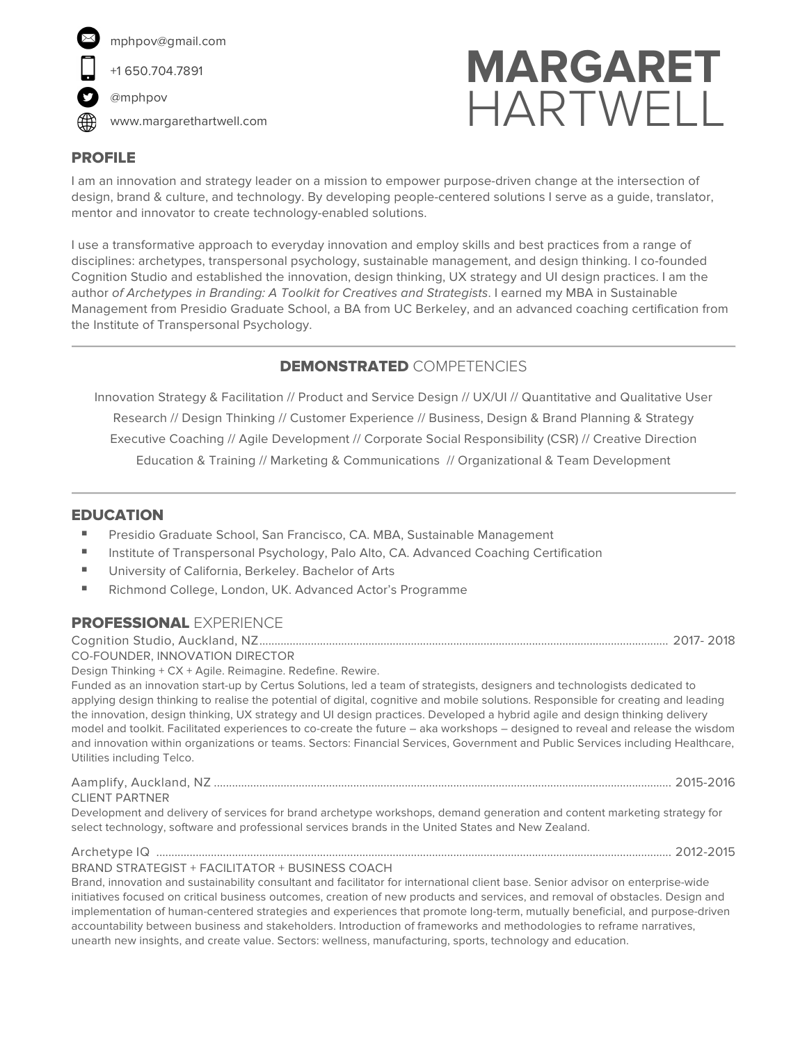

# **MARGARET HARTWELL**

## PROFILE

I am an innovation and strategy leader on a mission to empower purpose-driven change at the intersection of design, brand & culture, and technology. By developing people-centered solutions I serve as a guide, translator, mentor and innovator to create technology-enabled solutions.

I use a transformative approach to everyday innovation and employ skills and best practices from a range of disciplines: archetypes, transpersonal psychology, sustainable management, and design thinking. I co-founded Cognition Studio and established the innovation, design thinking, UX strategy and UI design practices. I am the author *of Archetypes in Branding: A Toolkit for Creatives and Strategists*. I earned my MBA in Sustainable Management from Presidio Graduate School, a BA from UC Berkeley, and an advanced coaching certification from the Institute of Transpersonal Psychology.

## DEMONSTRATED COMPETENCIES

Innovation Strategy & Facilitation // Product and Service Design // UX/UI // Quantitative and Qualitative User Research // Design Thinking // Customer Experience // Business, Design & Brand Planning & Strategy Executive Coaching // Agile Development // Corporate Social Responsibility (CSR) // Creative Direction Education & Training // Marketing & Communications // Organizational & Team Development

### **EDUCATION**

- Presidio Graduate School, San Francisco, CA. MBA, Sustainable Management
- Institute of Transpersonal Psychology, Palo Alto, CA. Advanced Coaching Certification
- University of California, Berkeley. Bachelor of Arts
- § Richmond College, London, UK. Advanced Actor's Programme

#### PROFESSIONAL EXPERIENCE

Cognition Studio, Auckland, NZ....................................................................................................................................... 2017- 2018

CO-FOUNDER, INNOVATION DIRECTOR

Design Thinking + CX + Agile. Reimagine. Redefine. Rewire. Funded as an innovation start-up by Certus Solutions, led a team of strategists, designers and technologists dedicated to applying design thinking to realise the potential of digital, cognitive and mobile solutions. Responsible for creating and leading the innovation, design thinking, UX strategy and UI design practices. Developed a hybrid agile and design thinking delivery model and toolkit. Facilitated experiences to co-create the future – aka workshops – designed to reveal and release the wisdom and innovation within organizations or teams. Sectors: Financial Services, Government and Public Services including Healthcare, Utilities including Telco.

#### Aamplify, Auckland, NZ ....................................................................................................................................................... 2015-2016 CLIENT PARTNER Development and delivery of services for brand archetype workshops, demand generation and content marketing strategy for select technology, software and professional services brands in the United States and New Zealand.

Archetype IQ .......................................................................................................................................................................... 2012-2015 BRAND STRATEGIST + FACILITATOR + BUSINESS COACH

Brand, innovation and sustainability consultant and facilitator for international client base. Senior advisor on enterprise-wide initiatives focused on critical business outcomes, creation of new products and services, and removal of obstacles. Design and implementation of human-centered strategies and experiences that promote long-term, mutually beneficial, and purpose-driven accountability between business and stakeholders. Introduction of frameworks and methodologies to reframe narratives, unearth new insights, and create value. Sectors: wellness, manufacturing, sports, technology and education.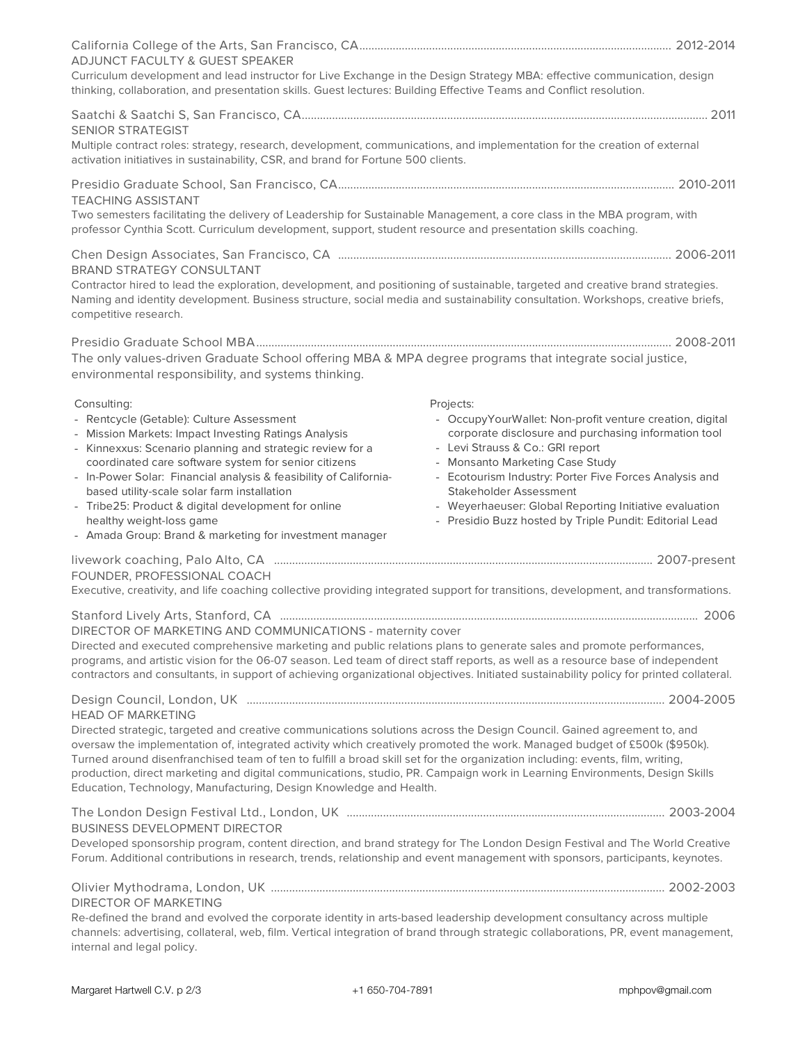| <b>ADJUNCT FACULTY &amp; GUEST SPEAKER</b>                                                                                                                                                                                                                                                |                                                                                           |
|-------------------------------------------------------------------------------------------------------------------------------------------------------------------------------------------------------------------------------------------------------------------------------------------|-------------------------------------------------------------------------------------------|
| Curriculum development and lead instructor for Live Exchange in the Design Strategy MBA: effective communication, design<br>thinking, collaboration, and presentation skills. Guest lectures: Building Effective Teams and Conflict resolution.                                           |                                                                                           |
|                                                                                                                                                                                                                                                                                           |                                                                                           |
| <b>SENIOR STRATEGIST</b>                                                                                                                                                                                                                                                                  |                                                                                           |
| Multiple contract roles: strategy, research, development, communications, and implementation for the creation of external<br>activation initiatives in sustainability, CSR, and brand for Fortune 500 clients.                                                                            |                                                                                           |
|                                                                                                                                                                                                                                                                                           |                                                                                           |
| <b>TEACHING ASSISTANT</b>                                                                                                                                                                                                                                                                 |                                                                                           |
| Two semesters facilitating the delivery of Leadership for Sustainable Management, a core class in the MBA program, with<br>professor Cynthia Scott. Curriculum development, support, student resource and presentation skills coaching.                                                   |                                                                                           |
|                                                                                                                                                                                                                                                                                           |                                                                                           |
| <b>BRAND STRATEGY CONSULTANT</b>                                                                                                                                                                                                                                                          |                                                                                           |
| Contractor hired to lead the exploration, development, and positioning of sustainable, targeted and creative brand strategies.<br>Naming and identity development. Business structure, social media and sustainability consultation. Workshops, creative briefs,<br>competitive research. |                                                                                           |
|                                                                                                                                                                                                                                                                                           |                                                                                           |
| The only values-driven Graduate School offering MBA & MPA degree programs that integrate social justice,                                                                                                                                                                                  |                                                                                           |
| environmental responsibility, and systems thinking.                                                                                                                                                                                                                                       |                                                                                           |
| Consulting:                                                                                                                                                                                                                                                                               | Projects:                                                                                 |
| - Rentcycle (Getable): Culture Assessment                                                                                                                                                                                                                                                 | - OccupyYourWallet: Non-profit venture creation, digital                                  |
| - Mission Markets: Impact Investing Ratings Analysis                                                                                                                                                                                                                                      | corporate disclosure and purchasing information tool                                      |
| - Kinnexxus: Scenario planning and strategic review for a                                                                                                                                                                                                                                 | - Levi Strauss & Co.: GRI report                                                          |
| coordinated care software system for senior citizens<br>- In-Power Solar: Financial analysis & feasibility of California-                                                                                                                                                                 | - Monsanto Marketing Case Study<br>- Ecotourism Industry: Porter Five Forces Analysis and |
| based utility-scale solar farm installation                                                                                                                                                                                                                                               | Stakeholder Assessment                                                                    |
| - Tribe25: Product & digital development for online                                                                                                                                                                                                                                       | - Weyerhaeuser: Global Reporting Initiative evaluation                                    |
| healthy weight-loss game                                                                                                                                                                                                                                                                  | - Presidio Buzz hosted by Triple Pundit: Editorial Lead                                   |
| - Amada Group: Brand & marketing for investment manager                                                                                                                                                                                                                                   |                                                                                           |
|                                                                                                                                                                                                                                                                                           |                                                                                           |
| FOUNDER, PROFESSIONAL COACH                                                                                                                                                                                                                                                               |                                                                                           |
| Executive, creativity, and life coaching collective providing integrated support for transitions, development, and transformations.                                                                                                                                                       |                                                                                           |
| DIRECTOR OF MARKETING AND COMMUNICATIONS - maternity cover                                                                                                                                                                                                                                |                                                                                           |
| Directed and executed comprehensive marketing and public relations plans to generate sales and promote performances,                                                                                                                                                                      |                                                                                           |
| programs, and artistic vision for the 06-07 season. Led team of direct staff reports, as well as a resource base of independent<br>contractors and consultants, in support of achieving organizational objectives. Initiated sustainability policy for printed collateral.                |                                                                                           |
|                                                                                                                                                                                                                                                                                           |                                                                                           |
| <b>HEAD OF MARKETING</b><br>Directed strategic, targeted and creative communications solutions across the Design Council. Gained agreement to, and                                                                                                                                        |                                                                                           |
| oversaw the implementation of, integrated activity which creatively promoted the work. Managed budget of £500k (\$950k).                                                                                                                                                                  |                                                                                           |
| Turned around disenfranchised team of ten to fulfill a broad skill set for the organization including: events, film, writing,                                                                                                                                                             |                                                                                           |
| production, direct marketing and digital communications, studio, PR. Campaign work in Learning Environments, Design Skills                                                                                                                                                                |                                                                                           |
| Education, Technology, Manufacturing, Design Knowledge and Health.                                                                                                                                                                                                                        |                                                                                           |
|                                                                                                                                                                                                                                                                                           |                                                                                           |
| <b>BUSINESS DEVELOPMENT DIRECTOR</b>                                                                                                                                                                                                                                                      |                                                                                           |
| Developed sponsorship program, content direction, and brand strategy for The London Design Festival and The World Creative<br>Forum. Additional contributions in research, trends, relationship and event management with sponsors, participants, keynotes.                               |                                                                                           |
|                                                                                                                                                                                                                                                                                           |                                                                                           |
| <b>DIRECTOR OF MARKETING</b>                                                                                                                                                                                                                                                              |                                                                                           |
| Re-defined the brand and evolved the corporate identity in arts-based leadership development consultancy across multiple<br>channels: advertising, collateral, web, film. Vertical integration of brand through strategic collaborations, PR, event management,                           |                                                                                           |
|                                                                                                                                                                                                                                                                                           |                                                                                           |

internal and legal policy.